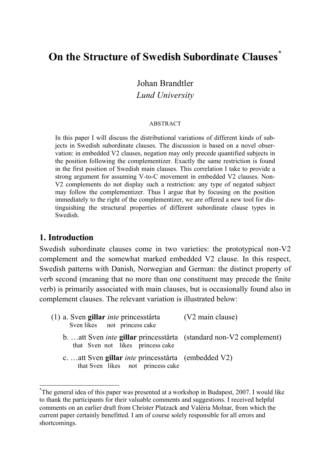# **On the Structure of Swedish Subordinate Clauses \***

Johan Brandtler

*Lund University*

#### ABSTRACT

In this paper I will discuss the distributional variations of different kinds of subjects in Swedish subordinate clauses. The discussion is based on a novel observation: in embedded V2 clauses, negation may only precede quantified subjects in the position following the complementizer. Exactly the same restriction is found in the first position of Swedish main clauses. This correlation I take to provide a strong argument for assuming V-to-C movement in embedded V2 clauses. Non-V2 complements do not display such a restriction: any type of negated subject may follow the complementizer. Thus I argue that by focusing on the position immediately to the right of the complementizer, we are offered a new tool for distinguishing the structural properties of different subordinate clause types in Swedish.

## **1. Introduction**

Swedish subordinate clauses come in two varieties: the prototypical non-V2 complement and the somewhat marked embedded V2 clause. In this respect, Swedish patterns with Danish, Norwegian and German: the distinct property of verb second (meaning that no more than one constituent may precede the finite verb) is primarily associated with main clauses, but is occasionally found also in complement clauses. The relevant variation is illustrated below:

| (1) a. Sven gillar <i>inte</i> princesstårta<br>Sven likes not princess cake                                   | (V2 main clause) |
|----------------------------------------------------------------------------------------------------------------|------------------|
| b. att Sven <i>inte</i> gillar princesstårta (standard non-V2 complement)<br>that Sven not likes princess cake |                  |
| c. att Sven gillar <i>inte</i> princesstårta (embedded V2)<br>that Sven likes not princess cake                |                  |

 <sup>\*</sup> The general idea of this paper was presented at a workshop in Budapest, 2007. I would like to thank the participants for their valuable comments and suggestions. I received helpful comments on an earlier draft from Christer Platzack and Valéria Molnar, from which the current paper certainly benefitted. I am of course solely responsible for all errors and shortcomings.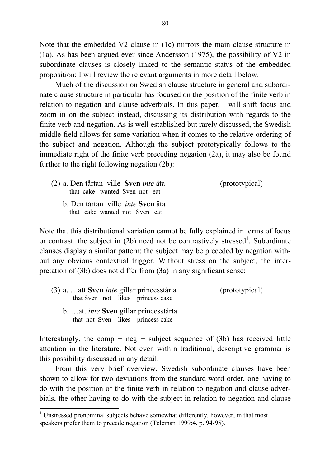Note that the embedded V2 clause in (1c) mirrors the main clause structure in (1a). As has been argued ever since Andersson (1975), the possibility of V2 in subordinate clauses is closely linked to the semantic status of the embedded proposition; I will review the relevant arguments in more detail below.

Much of the discussion on Swedish clause structure in general and subordinate clause structure in particular has focused on the position of the finite verb in relation to negation and clause adverbials. In this paper, I will shift focus and zoom in on the subject instead, discussing its distribution with regards to the finite verb and negation. As is well established but rarely discussed, the Swedish middle field allows for some variation when it comes to the relative ordering of the subject and negation. Although the subject prototypically follows to the immediate right of the finite verb preceding negation (2a), it may also be found further to the right following negation (2b):

| (2) a. Den tårtan ville Sven <i>inte</i> äta | (prototypical) |
|----------------------------------------------|----------------|
| that cake wanted Sven not eat                |                |
| b. Den tårtan ville <i>inte</i> Sven äta     |                |

that cake wanted not Sven eat

Note that this distributional variation cannot be fully explained in terms of focus or contrast: the subject in  $(2b)$  need not be contrastively stressed<sup>1</sup>. Subordinate clauses display a similar pattern: the subject may be preceded by negation without any obvious contextual trigger. Without stress on the subject, the interpretation of (3b) does not differ from (3a) in any significant sense:

| (3) a.  att <b>Sven</b> <i>inte</i> gillar princesstårta<br>that Sven not likes princess cake | (prototypical) |
|-----------------------------------------------------------------------------------------------|----------------|
| b.  att <i>inte</i> Sven gillar princesstårta<br>that not Sven likes princess cake            |                |

Interestingly, the comp + neg + subject sequence of (3b) has received little attention in the literature. Not even within traditional, descriptive grammar is this possibility discussed in any detail.

From this very brief overview, Swedish subordinate clauses have been shown to allow for two deviations from the standard word order, one having to do with the position of the finite verb in relation to negation and clause adverbials, the other having to do with the subject in relation to negation and clause

 $1$  Unstressed pronominal subjects behave somewhat differently, however, in that most speakers prefer them to precede negation (Teleman 1999:4, p. 94-95).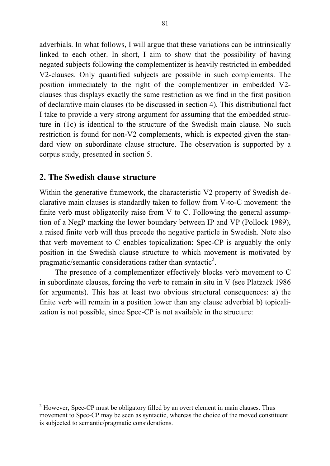adverbials. In what follows, I will argue that these variations can be intrinsically linked to each other. In short, I aim to show that the possibility of having negated subjects following the complementizer is heavily restricted in embedded V2-clauses. Only quantified subjects are possible in such complements. The position immediately to the right of the complementizer in embedded V2 clauses thus displays exactly the same restriction as we find in the first position of declarative main clauses (to be discussed in section 4). This distributional fact I take to provide a very strong argument for assuming that the embedded structure in (1c) is identical to the structure of the Swedish main clause. No such restriction is found for non-V2 complements, which is expected given the standard view on subordinate clause structure. The observation is supported by a corpus study, presented in section 5.

## **2. The Swedish clause structure**

Within the generative framework, the characteristic V2 property of Swedish declarative main clauses is standardly taken to follow from V-to-C movement: the finite verb must obligatorily raise from V to C. Following the general assumption of a NegP marking the lower boundary between IP and VP (Pollock 1989), a raised finite verb will thus precede the negative particle in Swedish. Note also that verb movement to C enables topicalization: Spec-CP is arguably the only position in the Swedish clause structure to which movement is motivated by pragmatic/semantic considerations rather than syntactic<sup>2</sup>.

The presence of a complementizer effectively blocks verb movement to C in subordinate clauses, forcing the verb to remain in situ in V (see Platzack 1986 for arguments). This has at least two obvious structural consequences: a) the finite verb will remain in a position lower than any clause adverbial b) topicalization is not possible, since Spec-CP is not available in the structure:

<sup>&</sup>lt;sup>2</sup> However, Spec-CP must be obligatory filled by an overt element in main clauses. Thus movement to Spec-CP may be seen as syntactic, whereas the choice of the moved constituent is subjected to semantic/pragmatic considerations.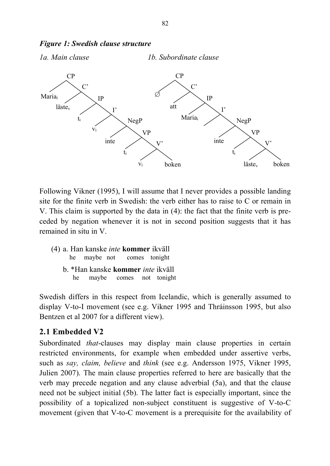

*Figure 1: Swedish clause structure*

Following Vikner (1995), I will assume that I never provides a possible landing site for the finite verb in Swedish: the verb either has to raise to C or remain in V. This claim is supported by the data in (4): the fact that the finite verb is preceded by negation whenever it is not in second position suggests that it has remained in situ in V.

- (4) a. Han kanske *inte* **kommer** ikväll he maybe not comes tonight
	- b. \*Han kanske **kommer** *inte* ikväll he maybe comes not tonight

Swedish differs in this respect from Icelandic, which is generally assumed to display V-to-I movement (see e.g. Vikner 1995 and Thráinsson 1995, but also Bentzen et al 2007 for a different view).

# **2.1 Embedded V2**

Subordinated *that*-clauses may display main clause properties in certain restricted environments, for example when embedded under assertive verbs, such as *say, claim, believe* and *think* (see e.g. Andersson 1975, Vikner 1995, Julien 2007). The main clause properties referred to here are basically that the verb may precede negation and any clause adverbial (5a), and that the clause need not be subject initial (5b). The latter fact is especially important, since the possibility of a topicalized non-subject constituent is suggestive of V-to-C movement (given that V-to-C movement is a prerequisite for the availability of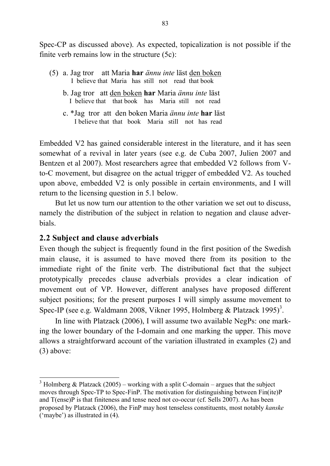Spec-CP as discussed above). As expected, topicalization is not possible if the finite verb remains low in the structure  $(5c)$ :

- (5) a. Jag tror att Maria **har** *ännu inte* läst den boken I believe that Maria has still not read that book
	- b. Jag tror att den boken **har** Maria *ännu inte* läst I believe that that book has Maria still not read
	- c. \*Jag tror att den boken Maria *ännu inte* **har** läst I believe that that book Maria still not has read

Embedded V2 has gained considerable interest in the literature, and it has seen somewhat of a revival in later years (see e.g. de Cuba 2007, Julien 2007 and Bentzen et al 2007). Most researchers agree that embedded V2 follows from Vto-C movement, but disagree on the actual trigger of embedded V2. As touched upon above, embedded V2 is only possible in certain environments, and I will return to the licensing question in 5.1 below.

But let us now turn our attention to the other variation we set out to discuss, namely the distribution of the subject in relation to negation and clause adverbials.

# **2.2 Subject and clause adverbials**

Even though the subject is frequently found in the first position of the Swedish main clause, it is assumed to have moved there from its position to the immediate right of the finite verb. The distributional fact that the subject prototypically precedes clause adverbials provides a clear indication of movement out of VP. However, different analyses have proposed different subject positions; for the present purposes I will simply assume movement to Spec-IP (see e.g. Waldmann 2008, Vikner 1995, Holmberg & Platzack 1995)<sup>3</sup>.

In line with Platzack (2006), I will assume two available NegPs: one marking the lower boundary of the I-domain and one marking the upper. This move allows a straightforward account of the variation illustrated in examples (2) and (3) above:

<sup>&</sup>lt;sup>3</sup> Holmberg & Platzack (2005) – working with a split C-domain – argues that the subject moves through Spec-TP to Spec-FinP. The motivation for distinguishing between Fin(ite)P and T(ense)P is that finiteness and tense need not co-occur (cf. Sells 2007). As has been proposed by Platzack (2006), the FinP may host tenseless constituents, most notably *kanske* ('maybe') as illustrated in (4).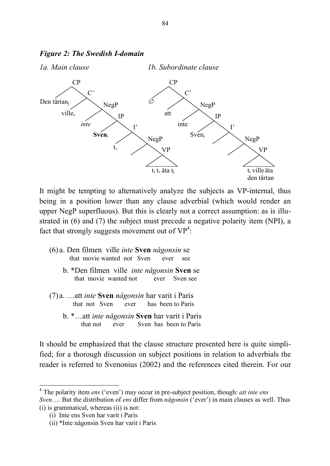

#### *Figure 2: The Swedish I-domain*

It might be tempting to alternatively analyze the subjects as VP-internal, thus being in a position lower than any clause adverbial (which would render an upper NegP superfluous). But this is clearly not a correct assumption: as is illustrated in (6) and (7) the subject must precede a negative polarity item (NPI), a fact that strongly suggests movement out of  $VP^4$ :

- (6) a. Den filmen ville *inte* **Sven** *någonsin* se that movie wanted not Sven ever see
	- b. \*Den filmen ville *inte någonsin* **Sven** se that movie wanted not ever Sven see
- (7) a. …att *inte* **Sven** *någonsin* har varit i Paris that not Sven ever has been to Paris
	- b. \*…att *inte någonsin* **Sven** har varit i Paris that not ever Sven has been to Paris

It should be emphasized that the clause structure presented here is quite simplified; for a thorough discussion on subject positions in relation to adverbials the reader is referred to Svenonius (2002) and the references cited therein. For our

 <sup>4</sup> The polarity item *ens* ('even') may occur in pre-subject position, though: *att inte ens Sven*…. But the distribution of *ens* differ from *någonsin* ('ever') in main clauses as well. Thus (i) is grammatical, whereas (ii) is not:

<sup>(</sup>i) Inte ens Sven har varit i Paris

<sup>(</sup>ii) \*Inte någonsin Sven har varit i Paris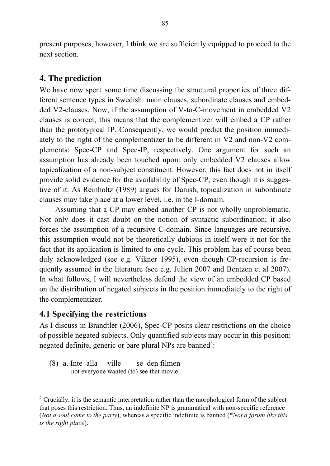present purposes, however, I think we are sufficiently equipped to proceed to the next section.

# **4. The prediction**

We have now spent some time discussing the structural properties of three different sentence types in Swedish: main clauses, subordinate clauses and embedded V2-clauses. Now, if the assumption of V-to-C-movement in embedded V2 clauses is correct, this means that the complementizer will embed a CP rather than the prototypical IP. Consequently, we would predict the position immediately to the right of the complementizer to be different in V2 and non-V2 complements: Spec-CP and Spec-IP, respectively. One argument for such an assumption has already been touched upon: only embedded V2 clauses allow topicalization of a non-subject constituent. However, this fact does not in itself provide solid evidence for the availability of Spec-CP, even though it is suggestive of it. As Reinholtz (1989) argues for Danish, topicalization in subordinate clauses may take place at a lower level, i.e. in the I-domain.

Assuming that a CP may embed another CP is not wholly unproblematic. Not only does it cast doubt on the notion of syntactic subordination; it also forces the assumption of a recursive C-domain. Since languages are recursive, this assumption would not be theoretically dubious in itself were it not for the fact that its application is limited to one cycle. This problem has of course been duly acknowledged (see e.g. Vikner 1995), even though CP-recursion is frequently assumed in the literature (see e.g. Julien 2007 and Bentzen et al 2007). In what follows, I will nevertheless defend the view of an embedded CP based on the distribution of negated subjects in the position immediately to the right of the complementizer.

# **4.1 Specifying the restrictions**

As I discuss in Brandtler (2006), Spec-CP posits clear restrictions on the choice of possible negated subjects. Only quantified subjects may occur in this position: negated definite, generic or bare plural NPs are banned<sup>5</sup>:

(8) a. Inte alla ville se den filmen not everyone wanted (to) see that movie

<sup>&</sup>lt;sup>5</sup> Crucially, it is the semantic interpretation rather than the morphological form of the subject that poses this restriction. Thus, an indefinite NP is grammatical with non-specific reference (*Not a soul came to the party*), whereas a specific indefinite is banned (\**Not a forum like this is the right place*).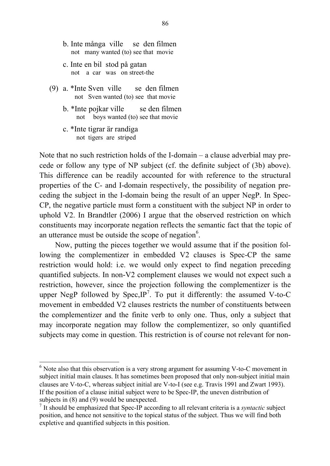- b. Inte många ville se den filmen not many wanted (to) see that movie
- c. Inte en bil stod på gatan not a car was on street-the
- (9) a. \*Inte Sven ville se den filmen not Sven wanted (to) see that movie
	- b. \*Inte pojkar ville se den filmen not boys wanted (to) see that movie
	- c. \*Inte tigrar är randiga not tigers are striped

Note that no such restriction holds of the I-domain – a clause adverbial may precede or follow any type of NP subject (cf. the definite subject of (3b) above). This difference can be readily accounted for with reference to the structural properties of the C- and I-domain respectively, the possibility of negation preceding the subject in the I-domain being the result of an upper NegP. In Spec-CP, the negative particle must form a constituent with the subject NP in order to uphold V2. In Brandtler (2006) I argue that the observed restriction on which constituents may incorporate negation reflects the semantic fact that the topic of an utterance must be outside the scope of negation $6$ .

Now, putting the pieces together we would assume that if the position following the complementizer in embedded V2 clauses is Spec-CP the same restriction would hold: i.e. we would only expect to find negation preceding quantified subjects. In non-V2 complement clauses we would not expect such a restriction, however, since the projection following the complementizer is the upper NegP followed by Spec,  $IP<sup>7</sup>$ . To put it differently: the assumed V-to-C movement in embedded V2 clauses restricts the number of constituents between the complementizer and the finite verb to only one. Thus, only a subject that may incorporate negation may follow the complementizer, so only quantified subjects may come in question. This restriction is of course not relevant for non-

 $6$  Note also that this observation is a very strong argument for assuming V-to-C movement in subject initial main clauses. It has sometimes been proposed that only non-subject initial main clauses are V-to-C, whereas subject initial are V-to-I (see e.g. Travis 1991 and Zwart 1993). If the position of a clause initial subject were to be Spec-IP, the uneven distribution of subjects in (8) and (9) would be unexpected.

<sup>7</sup> It should be emphasized that Spec-IP according to all relevant criteria is a *syntactic* subject position, and hence not sensitive to the topical status of the subject. Thus we will find both expletive and quantified subjects in this position.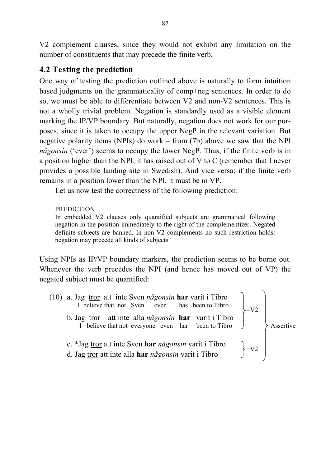V2 complement clauses, since they would not exhibit any limitation on the number of constituents that may precede the finite verb.

# **4.2 Testing the prediction**

One way of testing the prediction outlined above is naturally to form intuition based judgments on the grammaticality of comp+neg sentences. In order to do so, we must be able to differentiate between V2 and non-V2 sentences. This is not a wholly trivial problem. Negation is standardly used as a visible element marking the IP/VP boundary. But naturally, negation does not work for our purposes, since it is taken to occupy the upper NegP in the relevant variation. But negative polarity items (NPIs) do work – from (7b) above we saw that the NPI *någonsin* ('ever') seems to occupy the lower NegP. Thus, if the finite verb is in a position higher than the NPI, it has raised out of V to C (remember that I never provides a possible landing site in Swedish). And vice versa: if the finite verb remains in a position lower than the NPI, it must be in VP.

Let us now test the correctness of the following prediction:

#### PREDICTION

In embedded V2 clauses only quantified subjects are grammatical following negation in the position immediately to the right of the complementizer. Negated definite subjects are banned. In non-V2 complements no such restriction holds: negation may precede all kinds of subjects.

Using NPIs as IP/VP boundary markers, the prediction seems to be borne out. Whenever the verb precedes the NPI (and hence has moved out of VP) the negated subject must be quantified:

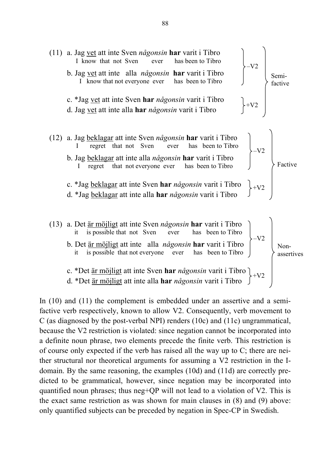

In (10) and (11) the complement is embedded under an assertive and a semifactive verb respectively, known to allow V2. Consequently, verb movement to C (as diagnosed by the post-verbal NPI) renders (10c) and (11c) ungrammatical, because the V2 restriction is violated: since negation cannot be incorporated into a definite noun phrase, two elements precede the finite verb. This restriction is of course only expected if the verb has raised all the way up to C; there are neither structural nor theoretical arguments for assuming a V2 restriction in the Idomain. By the same reasoning, the examples (10d) and (11d) are correctly predicted to be grammatical, however, since negation may be incorporated into quantified noun phrases; thus neg+QP will not lead to a violation of V2. This is the exact same restriction as was shown for main clauses in (8) and (9) above: only quantified subjects can be preceded by negation in Spec-CP in Swedish.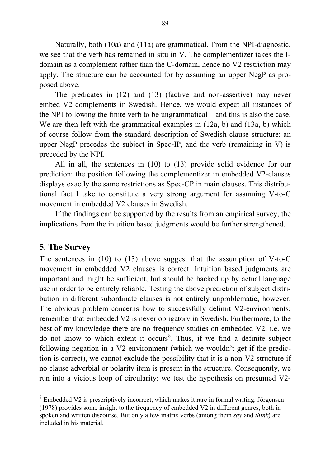Naturally, both (10a) and (11a) are grammatical. From the NPI-diagnostic, we see that the verb has remained in situ in V. The complementizer takes the Idomain as a complement rather than the C-domain, hence no V2 restriction may apply. The structure can be accounted for by assuming an upper NegP as proposed above.

The predicates in (12) and (13) (factive and non-assertive) may never embed V2 complements in Swedish. Hence, we would expect all instances of the NPI following the finite verb to be ungrammatical – and this is also the case. We are then left with the grammatical examples in (12a, b) and (13a, b) which of course follow from the standard description of Swedish clause structure: an upper NegP precedes the subject in Spec-IP, and the verb (remaining in V) is preceded by the NPI.

All in all, the sentences in (10) to (13) provide solid evidence for our prediction: the position following the complementizer in embedded V2-clauses displays exactly the same restrictions as Spec-CP in main clauses. This distributional fact I take to constitute a very strong argument for assuming V-to-C movement in embedded V2 clauses in Swedish.

If the findings can be supported by the results from an empirical survey, the implications from the intuition based judgments would be further strengthened.

## **5. The Survey**

The sentences in  $(10)$  to  $(13)$  above suggest that the assumption of V-to-C movement in embedded V2 clauses is correct. Intuition based judgments are important and might be sufficient, but should be backed up by actual language use in order to be entirely reliable. Testing the above prediction of subject distribution in different subordinate clauses is not entirely unproblematic, however. The obvious problem concerns how to successfully delimit V2-environments; remember that embedded V2 is never obligatory in Swedish. Furthermore, to the best of my knowledge there are no frequency studies on embedded V2, i.e. we do not know to which extent it occurs 8 . Thus, if we find a definite subject following negation in a V2 environment (which we wouldn't get if the prediction is correct), we cannot exclude the possibility that it is a non-V2 structure if no clause adverbial or polarity item is present in the structure. Consequently, we run into a vicious loop of circularity: we test the hypothesis on presumed V2-

 <sup>8</sup> Embedded V2 is prescriptively incorrect, which makes it rare in formal writing. Jörgensen (1978) provides some insight to the frequency of embedded V2 in different genres, both in spoken and written discourse. But only a few matrix verbs (among them *say* and *think*) are included in his material.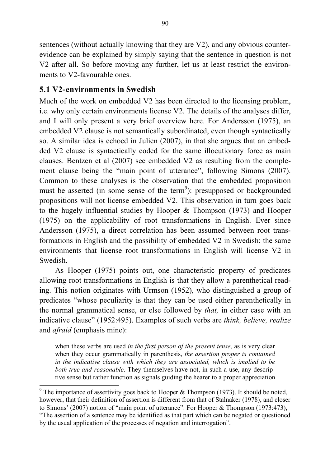sentences (without actually knowing that they are V2), and any obvious counterevidence can be explained by simply saying that the sentence in question is not V2 after all. So before moving any further, let us at least restrict the environments to V2-favourable ones.

# **5.1 V2-environments in Swedish**

Much of the work on embedded V2 has been directed to the licensing problem. i.e. why only certain environments license V2. The details of the analyses differ, and I will only present a very brief overview here. For Andersson (1975), an embedded V2 clause is not semantically subordinated, even though syntactically so. A similar idea is echoed in Julien (2007), in that she argues that an embedded V2 clause is syntactically coded for the same illocutionary force as main clauses. Bentzen et al (2007) see embedded V2 as resulting from the complement clause being the "main point of utterance", following Simons (2007). Common to these analyses is the observation that the embedded proposition must be asserted (in some sense of the term<sup>9</sup>): presupposed or backgrounded propositions will not license embedded V2. This observation in turn goes back to the hugely influential studies by Hooper & Thompson (1973) and Hooper (1975) on the applicability of root transformations in English. Ever since Andersson (1975), a direct correlation has been assumed between root transformations in English and the possibility of embedded V2 in Swedish: the same environments that license root transformations in English will license V2 in Swedish.

As Hooper (1975) points out, one characteristic property of predicates allowing root transformations in English is that they allow a parenthetical reading. This notion originates with Urmson (1952), who distinguished a group of predicates "whose peculiarity is that they can be used either parenthetically in the normal grammatical sense, or else followed by *that,* in either case with an indicative clause" (1952:495). Examples of such verbs are *think, believe, realize* and *afraid* (emphasis mine):

when these verbs are used *in the first person of the present tense*, as is very clear when they occur grammatically in parenthesis, *the assertion proper is contained in the indicative clause with which they are associated, which is implied to be both true and reasonable*. They themselves have not, in such a use, any descriptive sense but rather function as signals guiding the hearer to a proper appreciation

 $9$  The importance of assertivity goes back to Hooper & Thompson (1973). It should be noted, however, that their definition of assertion is different from that of Stalnaker (1978), and closer to Simons' (2007) notion of "main point of utterance". For Hooper & Thompson (1973:473), "The assertion of a sentence may be identified as that part which can be negated or questioned by the usual application of the processes of negation and interrogation".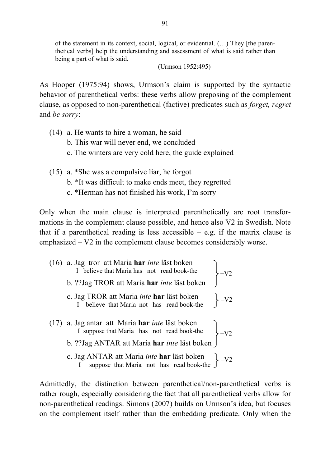of the statement in its context, social, logical, or evidential. (…) They [the parenthetical verbs] help the understanding and assessment of what is said rather than being a part of what is said.

#### (Urmson 1952:495)

As Hooper (1975:94) shows, Urmson's claim is supported by the syntactic behavior of parenthetical verbs: these verbs allow preposing of the complement clause, as opposed to non-parenthetical (factive) predicates such as *forget, regret* and *be sorry*:

- (14) a. He wants to hire a woman, he said
	- b. This war will never end, we concluded
	- c. The winters are very cold here, the guide explained
- (15) a. \*She was a compulsive liar, he forgot
	- b. \*It was difficult to make ends meet, they regretted
	- c. \*Herman has not finished his work, I'm sorry

Only when the main clause is interpreted parenthetically are root transformations in the complement clause possible, and hence also V2 in Swedish. Note that if a parenthetical reading is less accessible  $-$  e.g. if the matrix clause is emphasized – V2 in the complement clause becomes considerably worse.

(16) a. Jag tror att Maria **har** *inte* läst boken I believe that Maria has not read book-the b. ??Jag TROR att Maria **har** *inte* läst boken c. Jag TROR att Maria *inte* **har** läst boken I believe that Maria not has read book-the (17) a. Jag antar att Maria **har** *inte* läst boken I suppose that Maria has not read book-the b. ??Jag ANTAR att Maria **har** *inte* läst boken c. Jag ANTAR att Maria *inte* **har** läst boken I suppose that Maria not has read book-the  $+V<sub>2</sub>$  $-V<sub>2</sub>$  $+V<sub>2</sub>$  $\leftarrow$ -V2

Admittedly, the distinction between parenthetical/non-parenthetical verbs is rather rough, especially considering the fact that all parenthetical verbs allow for non-parenthetical readings. Simons (2007) builds on Urmson's idea, but focuses on the complement itself rather than the embedding predicate. Only when the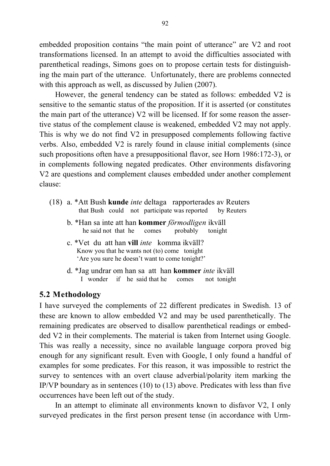embedded proposition contains "the main point of utterance" are V2 and root transformations licensed. In an attempt to avoid the difficulties associated with parenthetical readings, Simons goes on to propose certain tests for distinguishing the main part of the utterance. Unfortunately, there are problems connected with this approach as well, as discussed by Julien (2007).

However, the general tendency can be stated as follows: embedded V2 is sensitive to the semantic status of the proposition. If it is asserted (or constitutes the main part of the utterance) V2 will be licensed. If for some reason the assertive status of the complement clause is weakened, embedded V2 may not apply. This is why we do not find V2 in presupposed complements following factive verbs. Also, embedded V2 is rarely found in clause initial complements (since such propositions often have a presuppositional flavor, see Horn 1986:172-3), or in complements following negated predicates. Other environments disfavoring V2 are questions and complement clauses embedded under another complement clause:

- (18) a. \*Att Bush **kunde** *inte* deltaga rapporterades av Reuters that Bush could not participate was reported by Reuters
	- b. \*Han sa inte att han **kommer** *förmodligen* ikväll he said not that he comes probably tonight
	- c. \*Vet du att han **vill** *inte* komma ikväll? Know you that he wants not (to) come tonight 'Are you sure he doesn't want to come tonight?'
	- d. \*Jag undrar om han sa att han **kommer** *inte* ikväll I wonder if he said that he comes not tonight

## **5.2 Methodology**

I have surveyed the complements of 22 different predicates in Swedish. 13 of these are known to allow embedded V2 and may be used parenthetically. The remaining predicates are observed to disallow parenthetical readings or embedded V2 in their complements. The material is taken from Internet using Google. This was really a necessity, since no available language corpora proved big enough for any significant result. Even with Google, I only found a handful of examples for some predicates. For this reason, it was impossible to restrict the survey to sentences with an overt clause adverbial/polarity item marking the IP/VP boundary as in sentences (10) to (13) above. Predicates with less than five occurrences have been left out of the study.

In an attempt to eliminate all environments known to disfavor V2, I only surveyed predicates in the first person present tense (in accordance with Urm-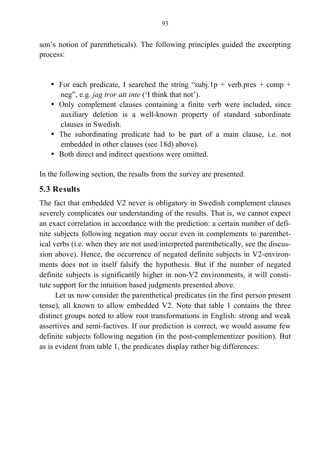son's notion of parentheticals). The following principles guided the excerpting process:

- For each predicate, I searched the string "subj.1p + verb.pres + comp + neg", e.g. *jag tror att inte* ('I think that not').
- Only complement clauses containing a finite verb were included, since auxiliary deletion is a well-known property of standard subordinate clauses in Swedish.
- The subordinating predicate had to be part of a main clause, i.e. not embedded in other clauses (see 18d) above).
- Both direct and indirect questions were omitted.

In the following section, the results from the survey are presented.

# **5.3 Results**

The fact that embedded V2 never is obligatory in Swedish complement clauses severely complicates our understanding of the results. That is, we cannot expect an exact correlation in accordance with the prediction: a certain number of definite subjects following negation may occur even in complements to parenthetical verbs (i.e. when they are not used/interpreted parenthetically, see the discussion above). Hence, the occurrence of negated definite subjects in V2-environments does not in itself falsify the hypothesis. But if the number of negated definite subjects is significantly higher in non-V2 environments, it will constitute support for the intuition based judgments presented above.

Let us now consider the parenthetical predicates (in the first person present tense), all known to allow embedded V2. Note that table 1 contains the three distinct groups noted to allow root transformations in English: strong and weak assertives and semi-factives. If our prediction is correct, we would assume few definite subjects following negation (in the post-complementizer position). But as is evident from table 1, the predicates display rather big differences: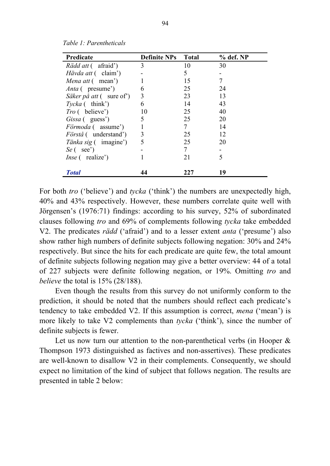| Predicate                           | <b>Definite NPs</b> Total |     | $%$ def. NP |
|-------------------------------------|---------------------------|-----|-------------|
| <i>Rädd att</i> (afraid')           | 3                         | 10  | 30          |
| <i>Hävda att</i> (claim')           |                           | 5   |             |
| Mena att (mean')                    |                           | 15  | 7           |
| <i>Anta</i> (presume)               | 6                         | 25  | 24          |
| Säker på att (sure of)              | 3                         | 23  | 13          |
| $Tycka$ (think')                    | 6                         | 14  | 43          |
| <i>Tro</i> (believe')               | 10                        | 25  | 40          |
| Gissa (guess <sup>'</sup> )         | 5                         | 25  | 20          |
| <i>Förmoda</i> (assume')            |                           | 7   | 14          |
| <i>Förstå</i> (understand')         | 3                         | 25  | 12          |
| <i>Tänka sig</i> ( imagine')        | 5                         | 25  | 20          |
| $Se$ (see')                         |                           | 7   |             |
| <i>Inse</i> (realize <sup>*</sup> ) |                           | 21  | 5           |
| <b>Total</b>                        | 44                        | 227 | 19          |

*Table 1: Parentheticals*

For both *tro* ('believe') and *tycka* ('think') the numbers are unexpectedly high, 40% and 43% respectively. However, these numbers correlate quite well with Jörgensen's (1976:71) findings: according to his survey, 52% of subordinated clauses following *tro* and 69% of complements following *tycka* take embedded V2. The predicates *rädd* ('afraid') and to a lesser extent *anta* ('presume') also show rather high numbers of definite subjects following negation: 30% and 24% respectively. But since the hits for each predicate are quite few, the total amount of definite subjects following negation may give a better overview: 44 of a total of 227 subjects were definite following negation, or 19%. Omitting *tro* and *believe* the total is 15% (28/188).

Even though the results from this survey do not uniformly conform to the prediction, it should be noted that the numbers should reflect each predicate's tendency to take embedded V2. If this assumption is correct, *mena* ('mean') is more likely to take V2 complements than *tycka* ('think'), since the number of definite subjects is fewer.

Let us now turn our attention to the non-parenthetical verbs (in Hooper  $\&$ Thompson 1973 distinguished as factives and non-assertives). These predicates are well-known to disallow V2 in their complements. Consequently, we should expect no limitation of the kind of subject that follows negation. The results are presented in table 2 below: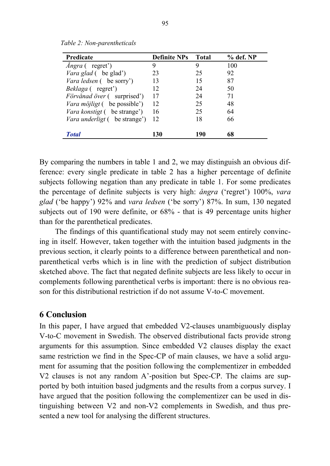| Predicate                           | <b>Definite NPs</b> | <b>Total</b> | $%$ def. NP |
|-------------------------------------|---------------------|--------------|-------------|
| <i>Angra</i> (regret)               | 9                   |              | 100         |
| <i>Vara glad</i> (be glad')         | 23                  | 25           | 92          |
| Vara ledsen (be sorry')             | 13                  | 15           | 87          |
| <i>Beklaga</i> (regret')            | 12                  | 24           | 50          |
| <i>Förvånad över</i> (surprised')   | 17                  | 24           | 71          |
| Vara möjligt (be possible')         | 12                  | 25           | 48          |
| <i>Vara konstigt</i> (be strange')  | 16                  | 25           | 64          |
| <i>Vara underligt</i> (be strange') | 12                  | 18           | 66          |
| <b>Total</b>                        | 130                 | 190          | 68          |

*Table 2: Non-parentheticals*

By comparing the numbers in table 1 and 2, we may distinguish an obvious difference: every single predicate in table 2 has a higher percentage of definite subjects following negation than any predicate in table 1. For some predicates the percentage of definite subjects is very high: *ångra* ('regret') 100%, *vara glad* ('be happy') 92% and *vara ledsen* ('be sorry') 87%. In sum, 130 negated subjects out of 190 were definite, or 68% - that is 49 percentage units higher than for the parenthetical predicates.

The findings of this quantificational study may not seem entirely convincing in itself. However, taken together with the intuition based judgments in the previous section, it clearly points to a difference between parenthetical and nonparenthetical verbs which is in line with the prediction of subject distribution sketched above. The fact that negated definite subjects are less likely to occur in complements following parenthetical verbs is important: there is no obvious reason for this distributional restriction if do not assume V-to-C movement.

#### **6 Conclusion**

In this paper, I have argued that embedded V2-clauses unambiguously display V-to-C movement in Swedish. The observed distributional facts provide strong arguments for this assumption. Since embedded V2 clauses display the exact same restriction we find in the Spec-CP of main clauses, we have a solid argument for assuming that the position following the complementizer in embedded V2 clauses is not any random A'-position but Spec-CP. The claims are supported by both intuition based judgments and the results from a corpus survey. I have argued that the position following the complementizer can be used in distinguishing between V2 and non-V2 complements in Swedish, and thus presented a new tool for analysing the different structures.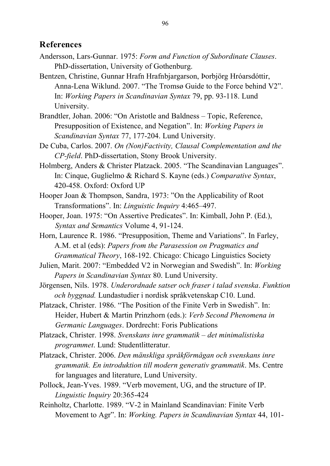#### **References**

- Andersson, Lars-Gunnar. 1975: *Form and Function of Subordinate Clauses*. PhD-dissertation, University of Gothenburg.
- Bentzen, Christine, Gunnar Hrafn Hrafnbjargarson, Þorbjörg Hróarsdóttir, Anna-Lena Wiklund. 2007. "The Tromsø Guide to the Force behind V2". In: *Working Papers in Scandinavian Syntax* 79, pp. 93-118. Lund University.
- Brandtler, Johan. 2006: "On Aristotle and Baldness Topic, Reference, Presupposition of Existence, and Negation". In: *Working Papers in Scandinavian Syntax* 77, 177-204. Lund University.
- De Cuba, Carlos. 2007. *On (Non)Factivity, Clausal Complementation and the CP-field*. PhD-dissertation, Stony Brook University.
- Holmberg, Anders & Christer Platzack. 2005. "The Scandinavian Languages". In: Cinque, Guglielmo & Richard S. Kayne (eds.) *Comparative Syntax*, 420-458. Oxford: Oxford UP
- Hooper Joan & Thompson, Sandra, 1973: "On the Applicability of Root Transformations". In: *Linguistic Inquiry* 4:465–497.
- Hooper, Joan. 1975: "On Assertive Predicates". In: Kimball, John P. (Ed.), *Syntax and Semantics* Volume 4, 91-124.
- Horn, Laurence R. 1986. "Presupposition, Theme and Variations". In Farley, A.M. et al (eds): *Papers from the Parasession on Pragmatics and Grammatical Theory*, 168-192. Chicago: Chicago Linguistics Society
- Julien, Marit. 2007: "Embedded V2 in Norwegian and Swedish". In: *Working Papers in Scandinavian Syntax* 80. Lund University.
- Jörgensen, Nils. 1978. *Underordnade satser och fraser i talad svenska*. *Funktion och byggnad.* Lundastudier i nordisk språkvetenskap C10. Lund.
- Platzack, Christer. 1986. "The Position of the Finite Verb in Swedish". In: Heider, Hubert & Martin Prinzhorn (eds.): *Verb Second Phenomena in Germanic Languages*. Dordrecht: Foris Publications
- Platzack, Christer. 1998. *Svenskans inre grammatik – det minimalistiska programmet*. Lund: Studentlitteratur.
- Platzack, Christer. 2006. *Den mänskliga språkförmågan och svenskans inre grammatik. En introduktion till modern generativ grammatik*. Ms. Centre for languages and literature, Lund University.
- Pollock, Jean-Yves. 1989. "Verb movement, UG, and the structure of IP. *Linguistic Inquiry* 20:365-424
- Reinholtz, Charlotte. 1989. "V-2 in Mainland Scandinavian: Finite Verb Movement to Agr". In: *Working. Papers in Scandinavian Syntax* 44, 101-